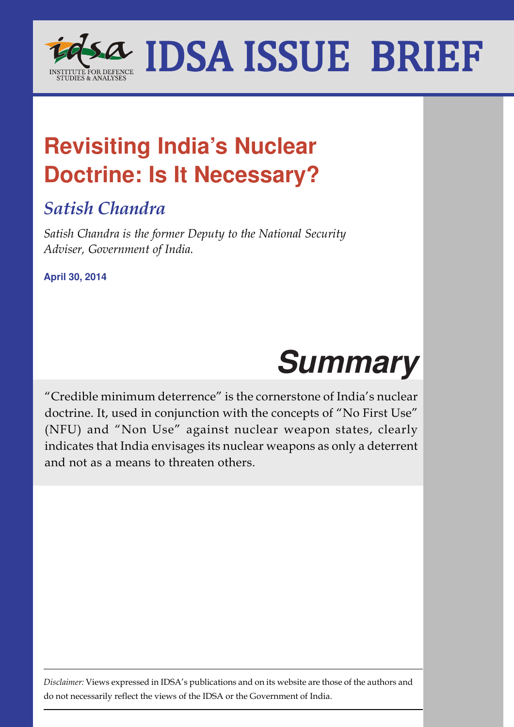

# **Revisiting India's Nuclear Doctrine: Is It Necessary?**

# *Satish Chandra*

*Satish Chandra is the former Deputy to the National Security Adviser, Government of India.*

**April 30, 2014**



"Credible minimum deterrence" is the cornerstone of India's nuclear doctrine. It, used in conjunction with the concepts of "No First Use" (NFU) and "Non Use" against nuclear weapon states, clearly indicates that India envisages its nuclear weapons as only a deterrent and not as a means to threaten others.

*Disclaimer:* Views expressed in IDSA's publications and on its website are those of the authors and do not necessarily reflect the views of the IDSA or the Government of India.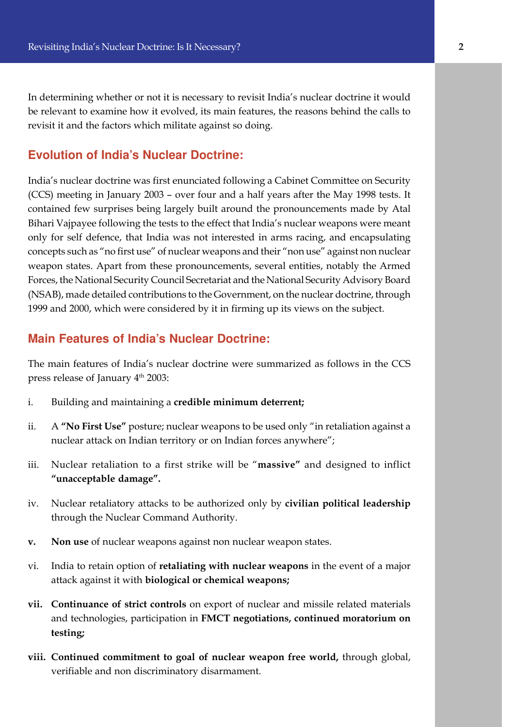In determining whether or not it is necessary to revisit India's nuclear doctrine it would be relevant to examine how it evolved, its main features, the reasons behind the calls to revisit it and the factors which militate against so doing.

#### **Evolution of India's Nuclear Doctrine:**

India's nuclear doctrine was first enunciated following a Cabinet Committee on Security (CCS) meeting in January 2003 – over four and a half years after the May 1998 tests. It contained few surprises being largely built around the pronouncements made by Atal Bihari Vajpayee following the tests to the effect that India's nuclear weapons were meant only for self defence, that India was not interested in arms racing, and encapsulating concepts such as "no first use" of nuclear weapons and their "non use" against non nuclear weapon states. Apart from these pronouncements, several entities, notably the Armed Forces, the National Security Council Secretariat and the National Security Advisory Board (NSAB), made detailed contributions to the Government, on the nuclear doctrine, through 1999 and 2000, which were considered by it in firming up its views on the subject.

### **Main Features of India's Nuclear Doctrine:**

The main features of India's nuclear doctrine were summarized as follows in the CCS press release of January 4<sup>th</sup> 2003:

- i. Building and maintaining a **credible minimum deterrent;**
- ii. A **"No First Use"** posture; nuclear weapons to be used only "in retaliation against a nuclear attack on Indian territory or on Indian forces anywhere";
- iii. Nuclear retaliation to a first strike will be "**massive"** and designed to inflict **"unacceptable damage".**
- iv. Nuclear retaliatory attacks to be authorized only by **civilian political leadership** through the Nuclear Command Authority.
- **v. Non use** of nuclear weapons against non nuclear weapon states.
- vi. India to retain option of **retaliating with nuclear weapons** in the event of a major attack against it with **biological or chemical weapons;**
- **vii. Continuance of strict controls** on export of nuclear and missile related materials and technologies, participation in **FMCT negotiations, continued moratorium on testing;**
- **viii. Continued commitment to goal of nuclear weapon free world,** through global, verifiable and non discriminatory disarmament.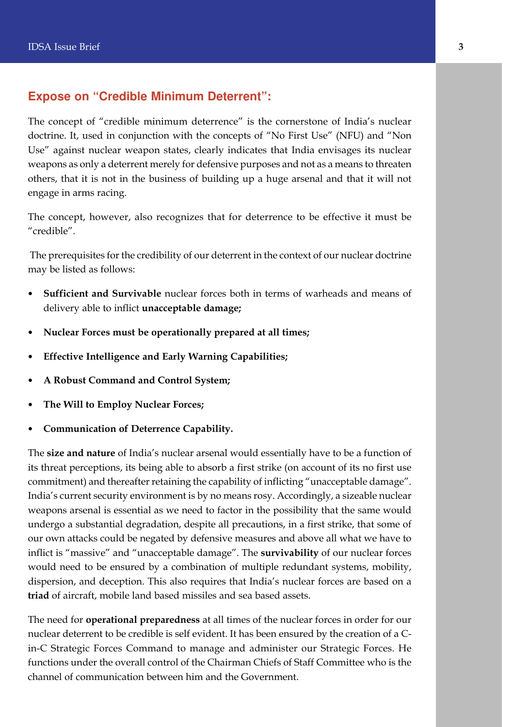## **Expose on "Credible Minimum Deterrent":**

The concept of "credible minimum deterrence" is the cornerstone of India's nuclear doctrine. It, used in conjunction with the concepts of "No First Use" (NFU) and "Non Use" against nuclear weapon states, clearly indicates that India envisages its nuclear weapons as only a deterrent merely for defensive purposes and not as a means to threaten others, that it is not in the business of building up a huge arsenal and that it will not engage in arms racing.

The concept, however, also recognizes that for deterrence to be effective it must be "credible".

 The prerequisites for the credibility of our deterrent in the context of our nuclear doctrine may be listed as follows:

- **Sufficient and Survivable** nuclear forces both in terms of warheads and means of delivery able to inflict **unacceptable damage;**
- **Nuclear Forces must be operationally prepared at all times;**
- **Effective Intelligence and Early Warning Capabilities;**
- **A Robust Command and Control System;**
- **The Will to Employ Nuclear Forces;**
- **Communication of Deterrence Capability.**

The **size and nature** of India's nuclear arsenal would essentially have to be a function of its threat perceptions, its being able to absorb a first strike (on account of its no first use commitment) and thereafter retaining the capability of inflicting "unacceptable damage". India's current security environment is by no means rosy. Accordingly, a sizeable nuclear weapons arsenal is essential as we need to factor in the possibility that the same would undergo a substantial degradation, despite all precautions, in a first strike, that some of our own attacks could be negated by defensive measures and above all what we have to inflict is "massive" and "unacceptable damage". The **survivability** of our nuclear forces would need to be ensured by a combination of multiple redundant systems, mobility, dispersion, and deception. This also requires that India's nuclear forces are based on a **triad** of aircraft, mobile land based missiles and sea based assets.

The need for **operational preparedness** at all times of the nuclear forces in order for our nuclear deterrent to be credible is self evident. It has been ensured by the creation of a Cin-C Strategic Forces Command to manage and administer our Strategic Forces. He functions under the overall control of the Chairman Chiefs of Staff Committee who is the channel of communication between him and the Government.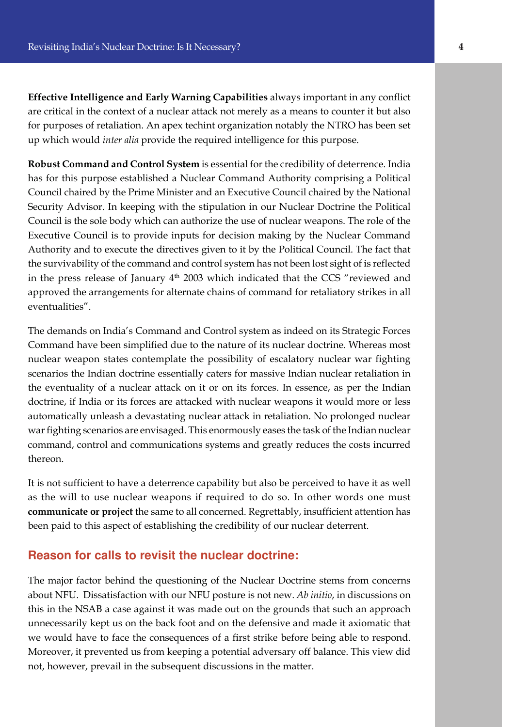**Effective Intelligence and Early Warning Capabilities** always important in any conflict are critical in the context of a nuclear attack not merely as a means to counter it but also for purposes of retaliation. An apex techint organization notably the NTRO has been set up which would *inter alia* provide the required intelligence for this purpose.

**Robust Command and Control System** is essential for the credibility of deterrence. India has for this purpose established a Nuclear Command Authority comprising a Political Council chaired by the Prime Minister and an Executive Council chaired by the National Security Advisor. In keeping with the stipulation in our Nuclear Doctrine the Political Council is the sole body which can authorize the use of nuclear weapons. The role of the Executive Council is to provide inputs for decision making by the Nuclear Command Authority and to execute the directives given to it by the Political Council. The fact that the survivability of the command and control system has not been lost sight of is reflected in the press release of January  $4<sup>th</sup>$  2003 which indicated that the CCS "reviewed and approved the arrangements for alternate chains of command for retaliatory strikes in all eventualities".

The demands on India's Command and Control system as indeed on its Strategic Forces Command have been simplified due to the nature of its nuclear doctrine. Whereas most nuclear weapon states contemplate the possibility of escalatory nuclear war fighting scenarios the Indian doctrine essentially caters for massive Indian nuclear retaliation in the eventuality of a nuclear attack on it or on its forces. In essence, as per the Indian doctrine, if India or its forces are attacked with nuclear weapons it would more or less automatically unleash a devastating nuclear attack in retaliation. No prolonged nuclear war fighting scenarios are envisaged. This enormously eases the task of the Indian nuclear command, control and communications systems and greatly reduces the costs incurred thereon.

It is not sufficient to have a deterrence capability but also be perceived to have it as well as the will to use nuclear weapons if required to do so. In other words one must **communicate or project** the same to all concerned. Regrettably, insufficient attention has been paid to this aspect of establishing the credibility of our nuclear deterrent.

#### **Reason for calls to revisit the nuclear doctrine:**

The major factor behind the questioning of the Nuclear Doctrine stems from concerns about NFU. Dissatisfaction with our NFU posture is not new. *Ab initio*, in discussions on this in the NSAB a case against it was made out on the grounds that such an approach unnecessarily kept us on the back foot and on the defensive and made it axiomatic that we would have to face the consequences of a first strike before being able to respond. Moreover, it prevented us from keeping a potential adversary off balance. This view did not, however, prevail in the subsequent discussions in the matter.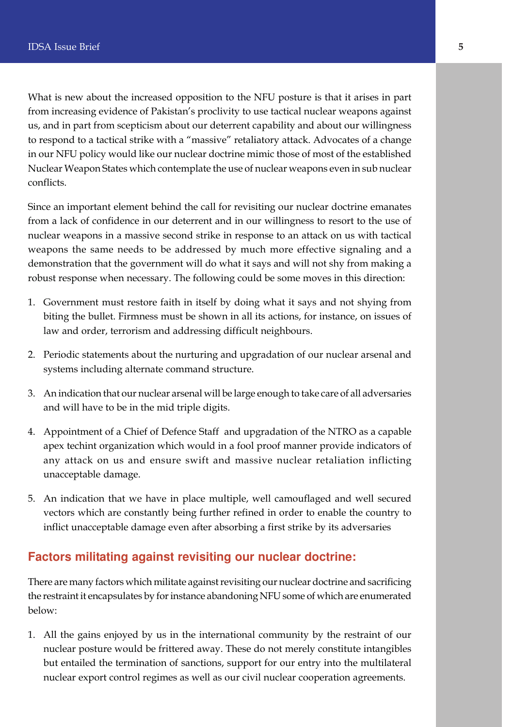What is new about the increased opposition to the NFU posture is that it arises in part from increasing evidence of Pakistan's proclivity to use tactical nuclear weapons against us, and in part from scepticism about our deterrent capability and about our willingness to respond to a tactical strike with a "massive" retaliatory attack. Advocates of a change in our NFU policy would like our nuclear doctrine mimic those of most of the established Nuclear Weapon States which contemplate the use of nuclear weapons even in sub nuclear conflicts.

Since an important element behind the call for revisiting our nuclear doctrine emanates from a lack of confidence in our deterrent and in our willingness to resort to the use of nuclear weapons in a massive second strike in response to an attack on us with tactical weapons the same needs to be addressed by much more effective signaling and a demonstration that the government will do what it says and will not shy from making a robust response when necessary. The following could be some moves in this direction:

- 1. Government must restore faith in itself by doing what it says and not shying from biting the bullet. Firmness must be shown in all its actions, for instance, on issues of law and order, terrorism and addressing difficult neighbours.
- 2. Periodic statements about the nurturing and upgradation of our nuclear arsenal and systems including alternate command structure.
- 3. An indication that our nuclear arsenal will be large enough to take care of all adversaries and will have to be in the mid triple digits.
- 4. Appointment of a Chief of Defence Staff and upgradation of the NTRO as a capable apex techint organization which would in a fool proof manner provide indicators of any attack on us and ensure swift and massive nuclear retaliation inflicting unacceptable damage.
- 5. An indication that we have in place multiple, well camouflaged and well secured vectors which are constantly being further refined in order to enable the country to inflict unacceptable damage even after absorbing a first strike by its adversaries

#### **Factors militating against revisiting our nuclear doctrine:**

There are many factors which militate against revisiting our nuclear doctrine and sacrificing the restraint it encapsulates by for instance abandoning NFU some of which are enumerated below:

1. All the gains enjoyed by us in the international community by the restraint of our nuclear posture would be frittered away. These do not merely constitute intangibles but entailed the termination of sanctions, support for our entry into the multilateral nuclear export control regimes as well as our civil nuclear cooperation agreements.